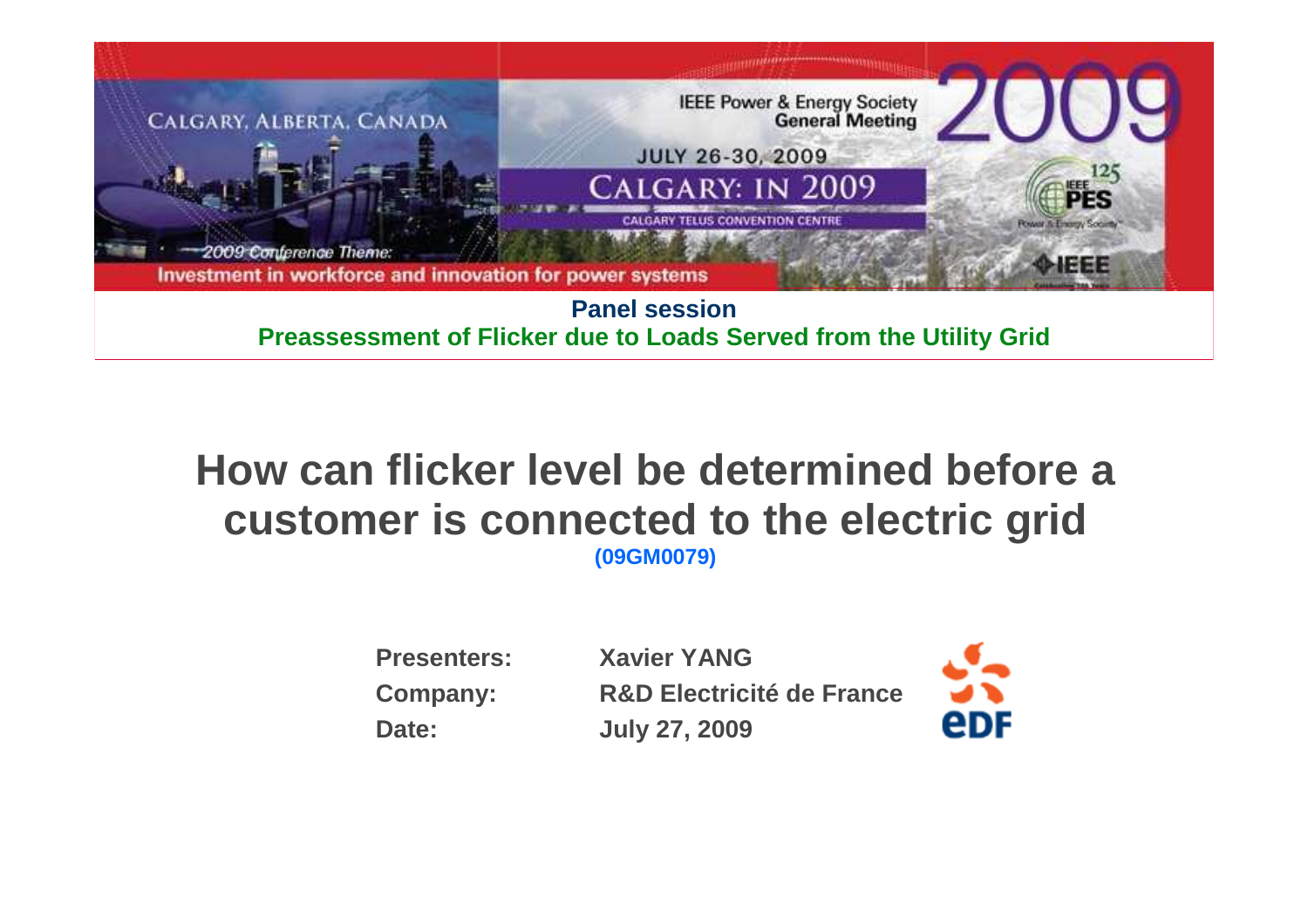

**Preassessment of Flicker due to Loads Served from the Utility Grid**

#### **How can flicker level be determined before a customer is connected to the electric grid(09GM0079)**

| <b>Presenters:</b> | <b>Xavier YANG</b>                   |
|--------------------|--------------------------------------|
| <b>Company:</b>    | <b>R&amp;D Electricité de France</b> |
| Date:              | <b>July 27, 2009</b>                 |

edF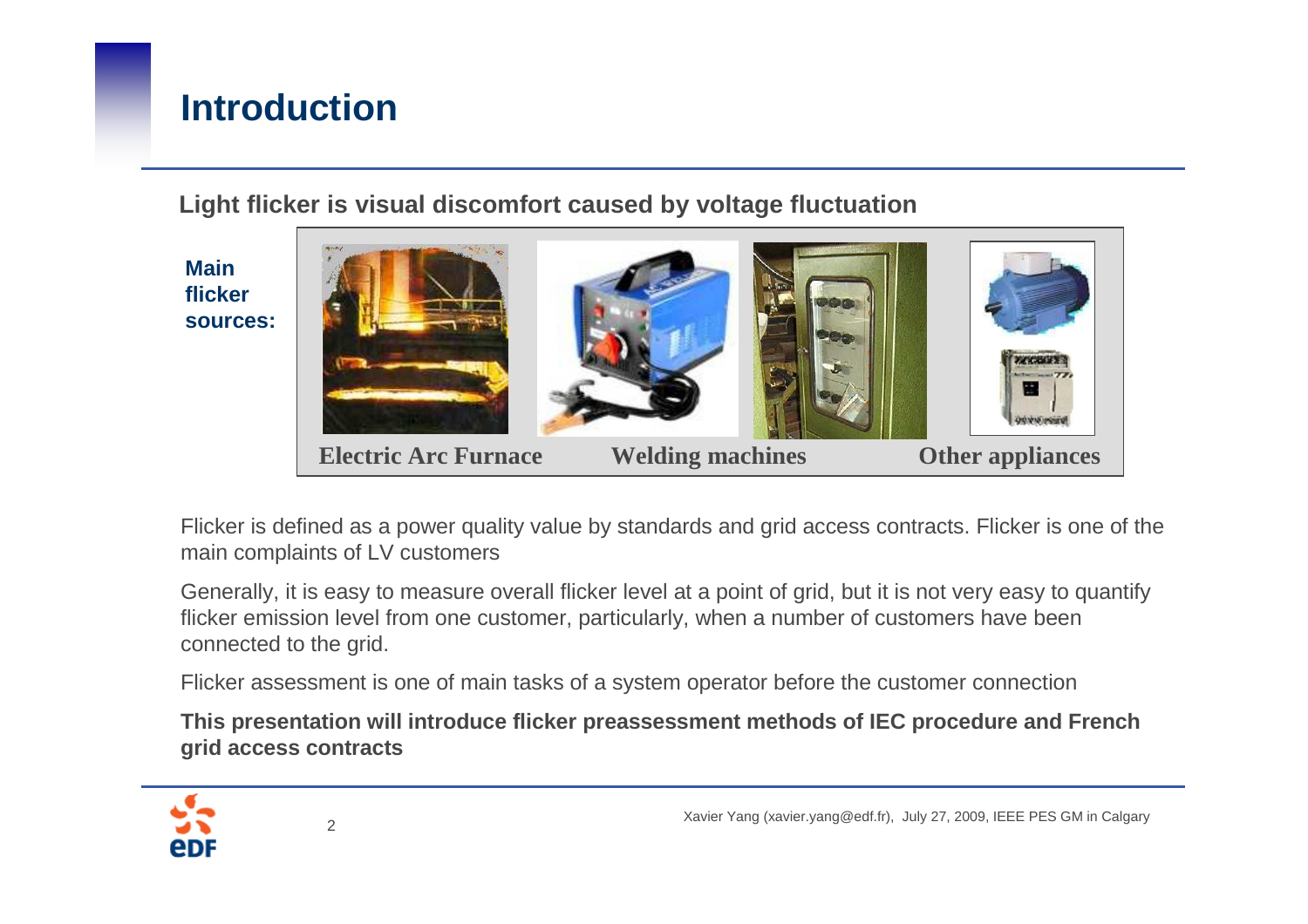# **Introduction**

**Light flicker is visual discomfort caused by voltage fluctuation**

**Main flicker sources:**



Flicker is defined as a power quality value by standards and grid access contracts. Flicker is one of the main complaints of LV customers

Generally, it is easy to measure overall flicker level at a point of grid, but it is not very easy to quantify flicker emission level from one customer, particularly, when a number of customers have been connected to the grid.

Flicker assessment is one of main tasks of a system operator before the customer connection

**This presentation will introduce flicker preassessment methods of IEC procedure and French grid access contracts** 

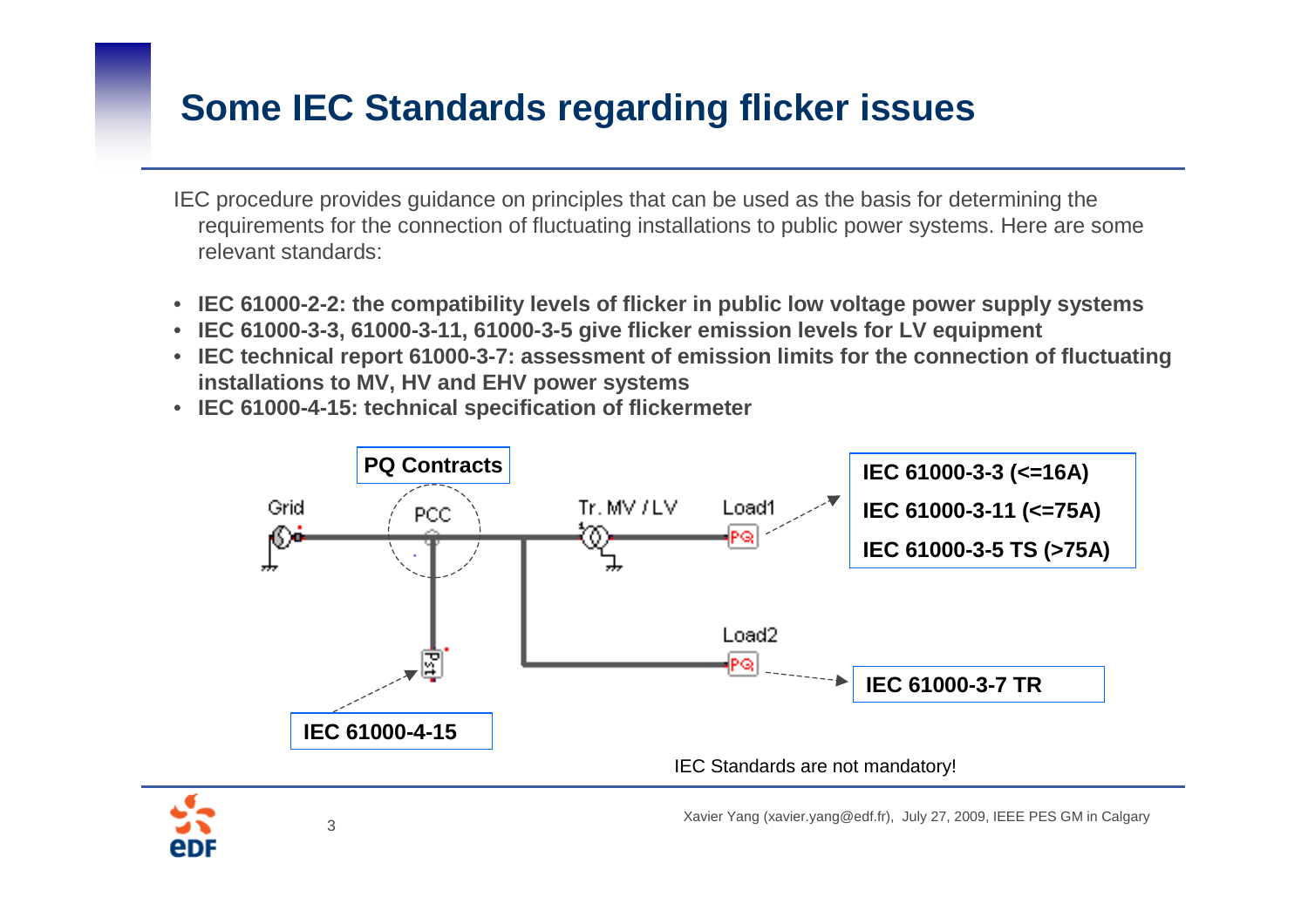#### **Some IEC Standards regarding flicker issues**

IEC procedure provides guidance on principles that can be used as the basis for determining the requirements for the connection of fluctuating installations to public power systems. Here are some relevant standards:

- **IEC 61000-2-2: the compatibility levels of flicker in public low voltage power supply systems**
- **IEC 61000-3-3, 61000-3-11, 61000-3-5 give flicker emission levels for LV equipment**
- **IEC technical report 61000-3-7: assessment of emission limits for the connection of fluctuating installations to MV, HV and EHV power systems**
- **IEC 61000-4-15: technical specification of flickermeter**



eDI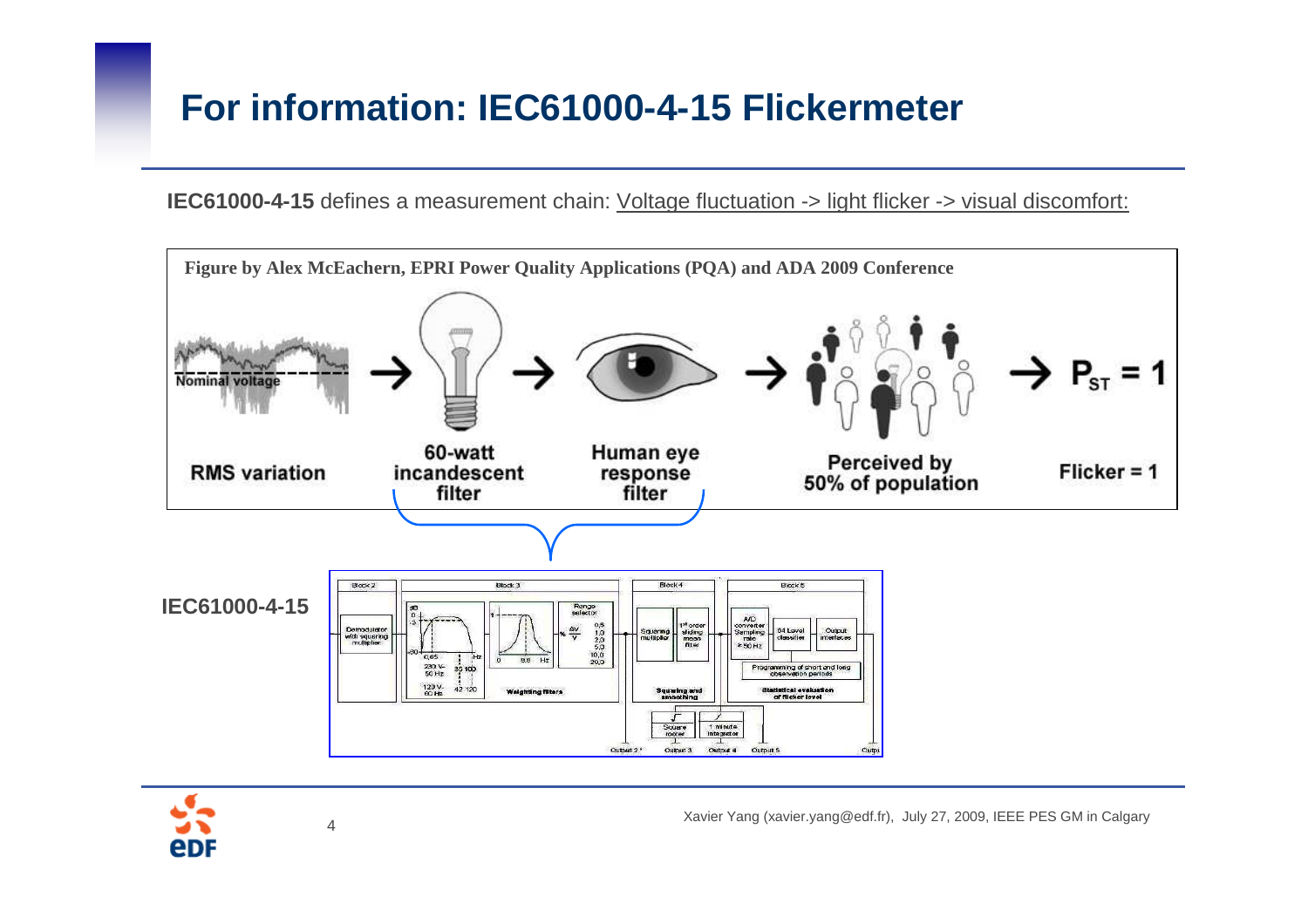## **For information: IEC61000-4-15 Flickermeter**

**IEC61000-4-15** defines a measurement chain: <u>Voltage fluctuation -> light flicker -> visual discomfort:</u>



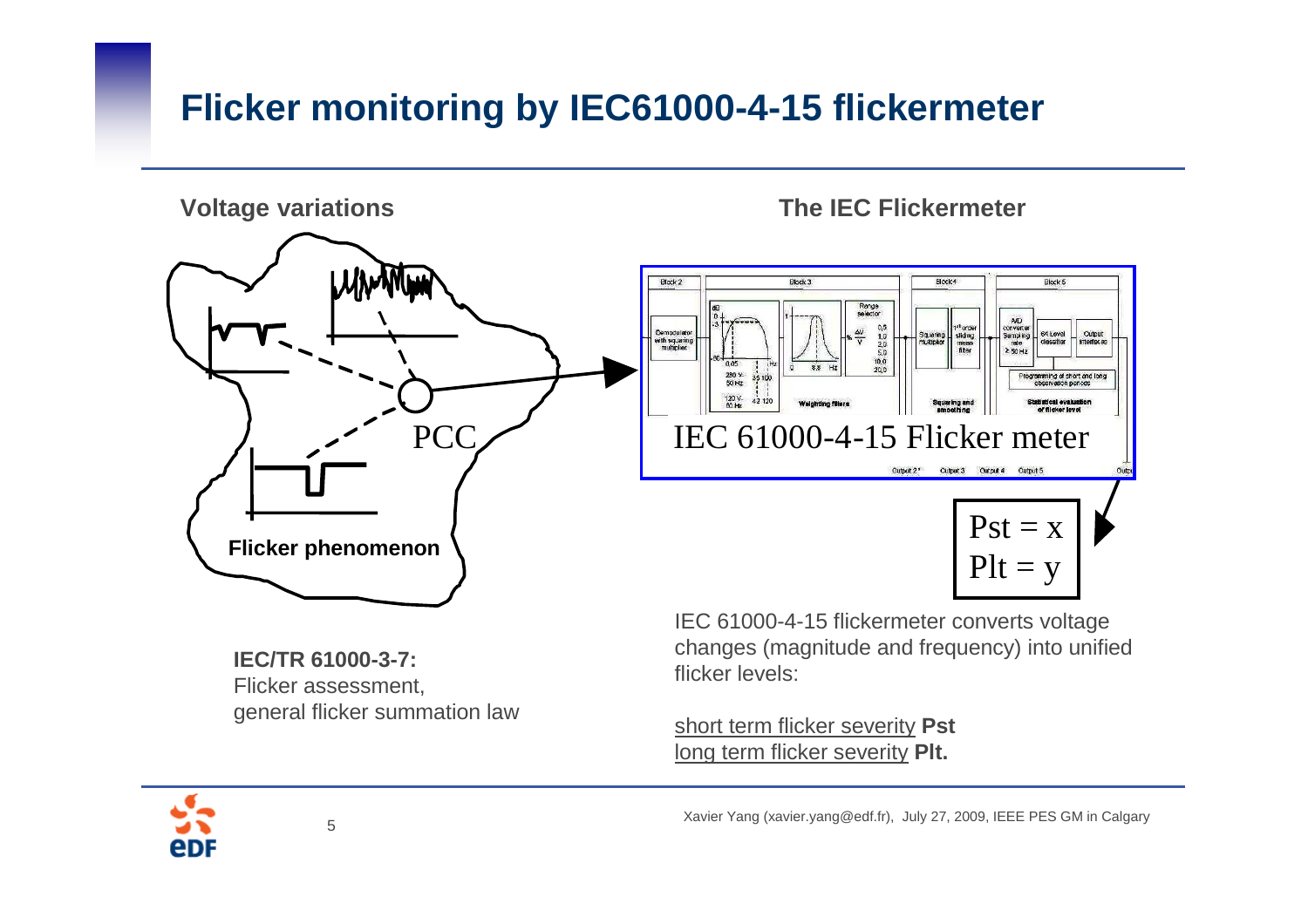# **Flicker monitoring by IEC61000-4-15 flickermeter**



 Flicker assessment, general flicker summation law

short term flicker severity **Pst** long term flicker severity **Plt.**

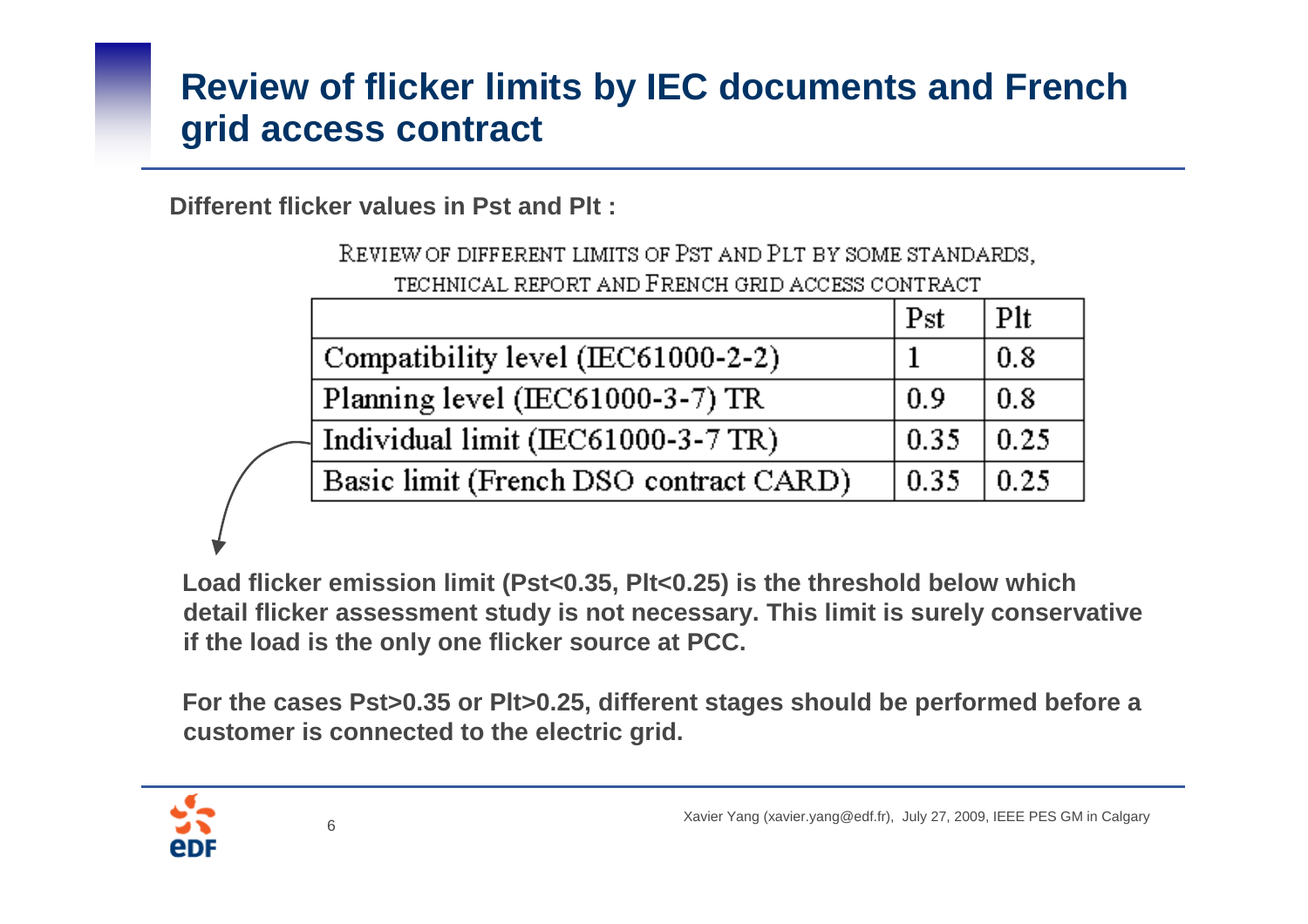## **Review of flicker limits by IEC documents and French grid access contract**

**Different flicker values in Pst and Plt :**

REVIEW OF DIFFERENT LIMITS OF PST AND PLT BY SOME STANDARDS, TECHNICAL REPORT AND FRENCH GRID ACCESS CONTRACT

|                                        | Pst  | Plt  |
|----------------------------------------|------|------|
| Compatibility level (IEC61000-2-2)     |      | 0.8  |
| Planning level (IEC61000-3-7) TR       | 0.9  | 0.8  |
| Individual limit (IEC61000-3-7 TR)     | 0.35 | 0.25 |
| Basic limit (French DSO contract CARD) | 0.35 | 0.25 |

**Load flicker emission limit (Pst<0.35, Plt<0.25) is the threshold below which detail flicker assessment study is not necessary. This limit is surely conservative if the load is the only one flicker source at PCC.**

**For the cases Pst>0.35 or Plt>0.25, different stages should be performed before a customer is connected to the electric grid.**

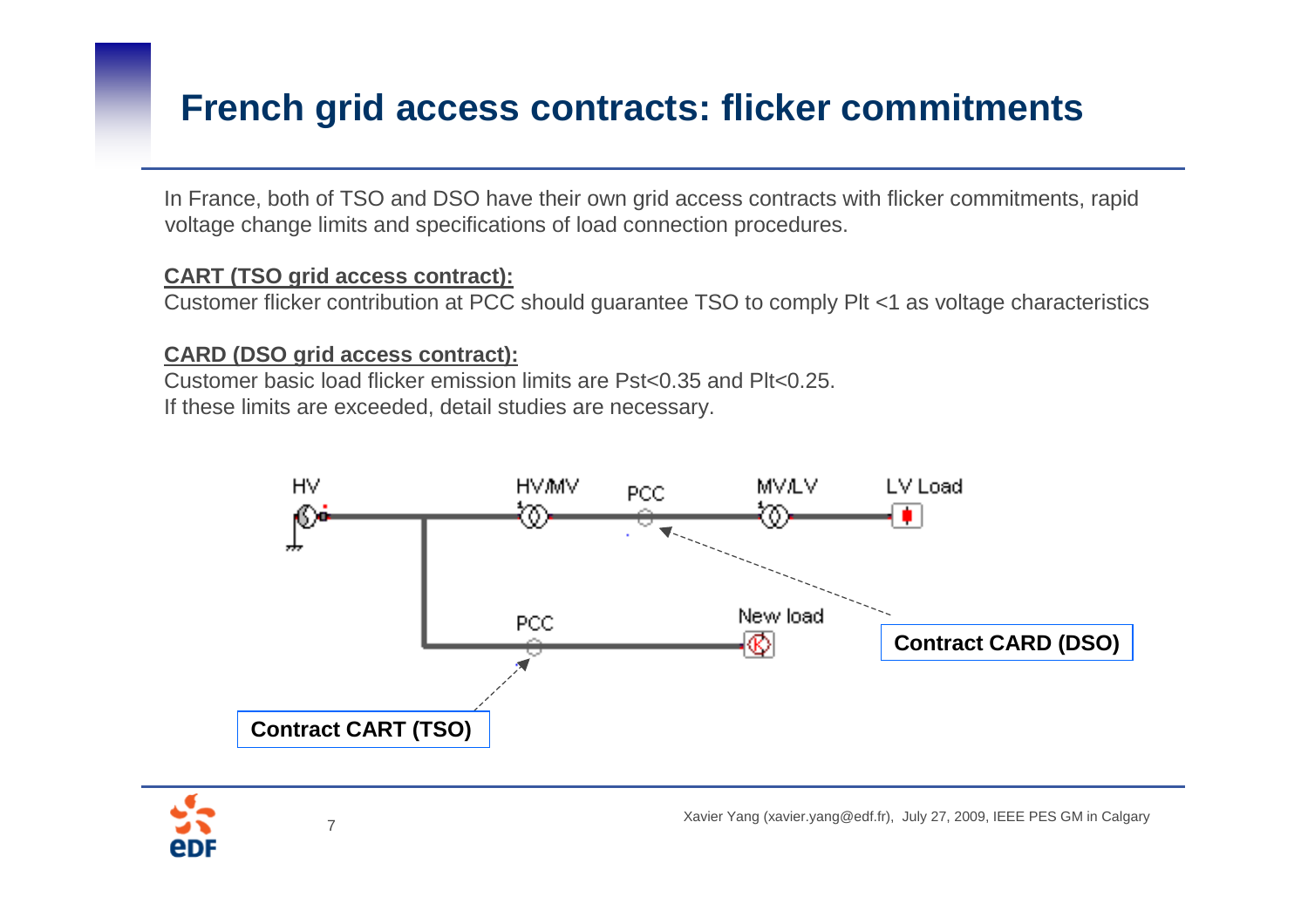#### **French grid access contracts: flicker commitments**

In France, both of TSO and DSO have their own grid access contracts with flicker commitments, rapid voltage change limits and specifications of load connection procedures.

#### **CART (TSO grid access contract):**

Customer flicker contribution at PCC should guarantee TSO to comply Plt <1 as voltage characteristics

#### **CARD (DSO grid access contract):**

 Customer basic load flicker emission limits are Pst<0.35 and Plt<0.25. If these limits are exceeded, detail studies are necessary.



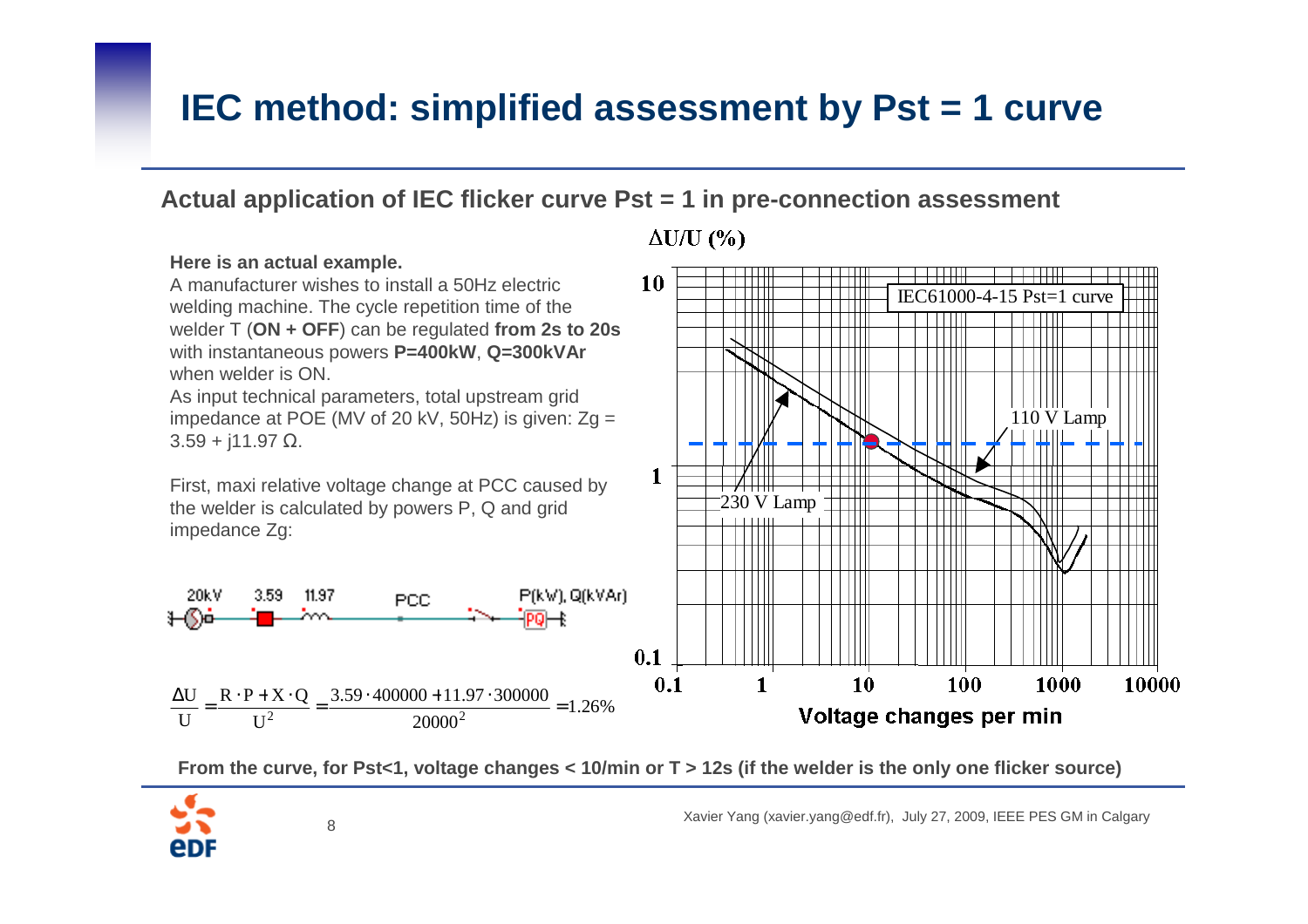### **IEC method: simplified assessment by Pst = 1 curve**

#### **Actual application of IEC flicker curve Pst = 1 in pre-connection assessment**

#### **Here is an actual example.** A manufacturer wishes to install a 50Hz electric welding machine. The cycle repetition time of the welder T (**ON + OFF**) can be regulated **from 2s to 20s**

with instantaneous powers **P=400kW**, **Q=300kVAr**when welder is ON.

As input technical parameters, total upstream grid impedance at POE (MV of 20 kV, 50Hz) is given: Zg <sup>=</sup>  $3.59 + j11.97 \Omega$ .

First, maxi relative voltage change at PCC caused by the welder is calculated by powers P, Q and grid impedance Zg:



**PCC** 





**From the curve, for Pst<1, voltage changes < 10/min or T > 12s (if the welder is the only one flicker source)**

Xavier Yang (xavier.yang@edf.fr), July 27, 2009, IEEE PES GM in Calgary 8



20kV

 $3.59 -$ 

 $11.97$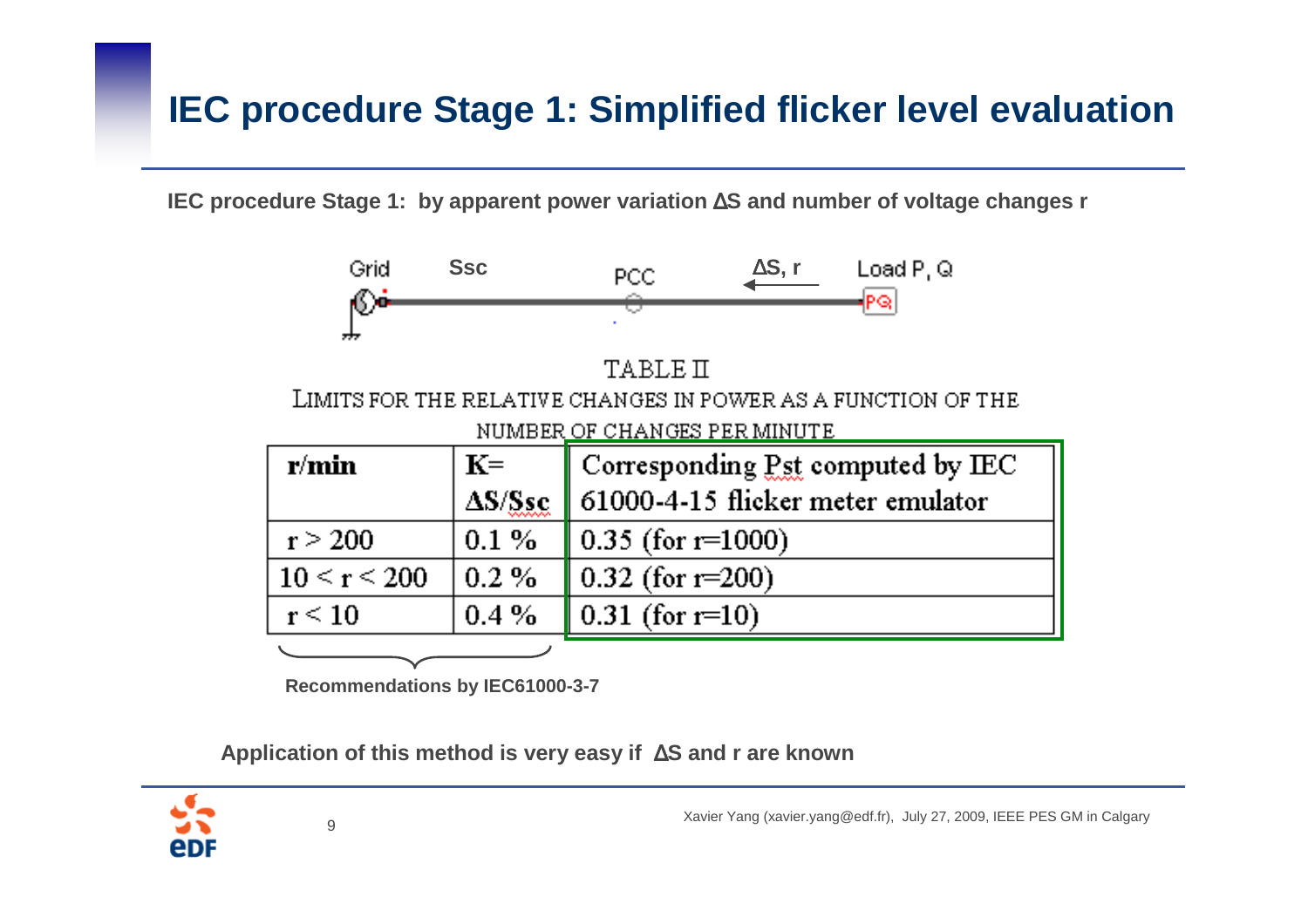# **IEC procedure Stage 1: Simplified flicker level evaluation**

**IEC procedure Stage 1: by apparent power variation** <sup>∆</sup>**S and number of voltage changes r**



**Recommendations by IEC61000-3-7**

**Application of this method is very easy if** ∆**S and r are known**

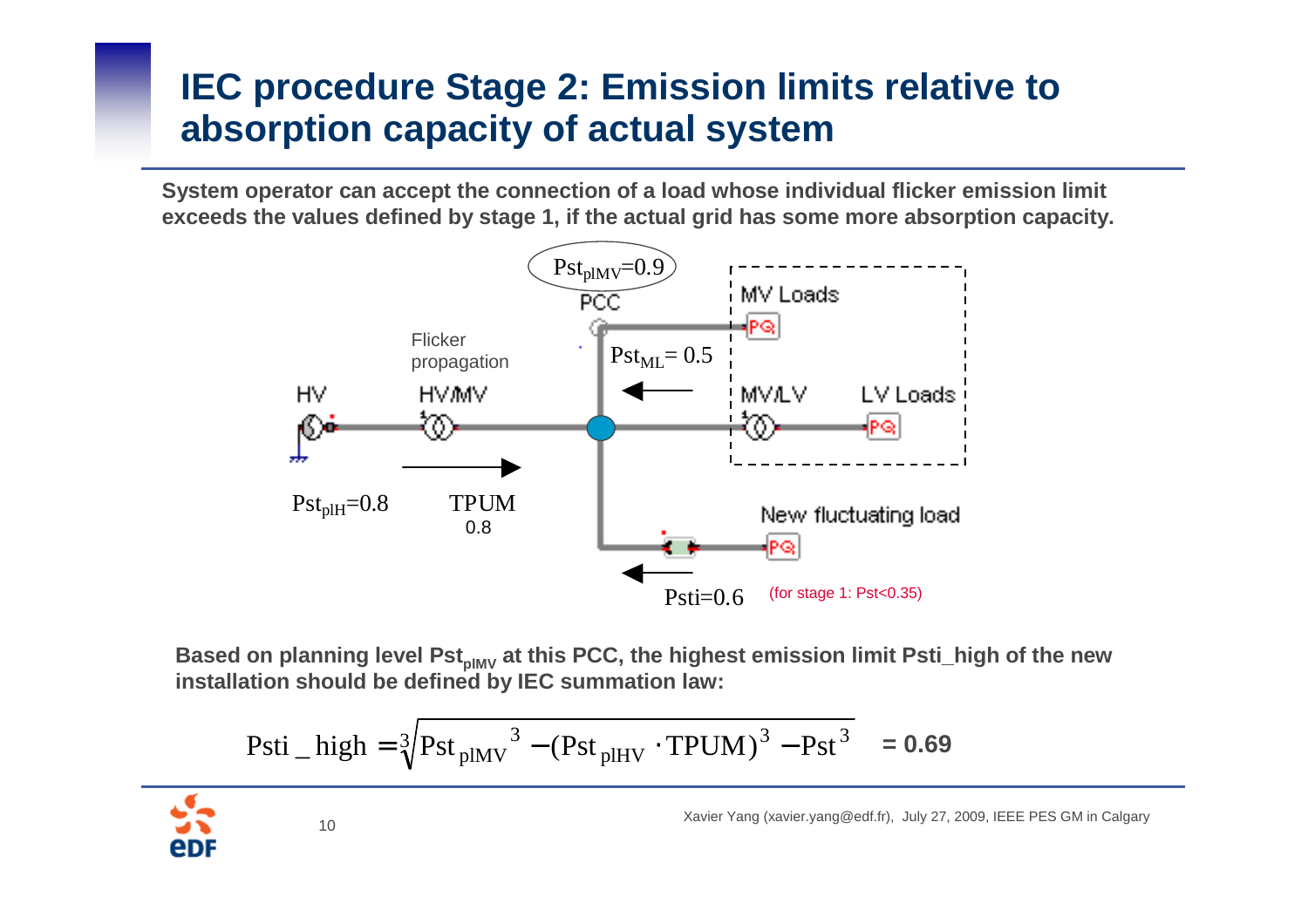# **IEC procedure Stage 2: Emission limits relative to absorption capacity of actual system**

**System operator can accept the connection of a load whose individual flicker emission limit exceeds the values defined by stage 1, if the actual grid has some more absorption capacity.**



**Based on planning level PstplMV at this PCC, the highest emission limit Psti\_high of the new installation should be defined by IEC summation law:**

$$
Psti\_high = \sqrt[3]{Pst_{plMV}^3 - (Pst_{plHV} \cdot TPUM)^3 - Pst^3} = 0.69
$$

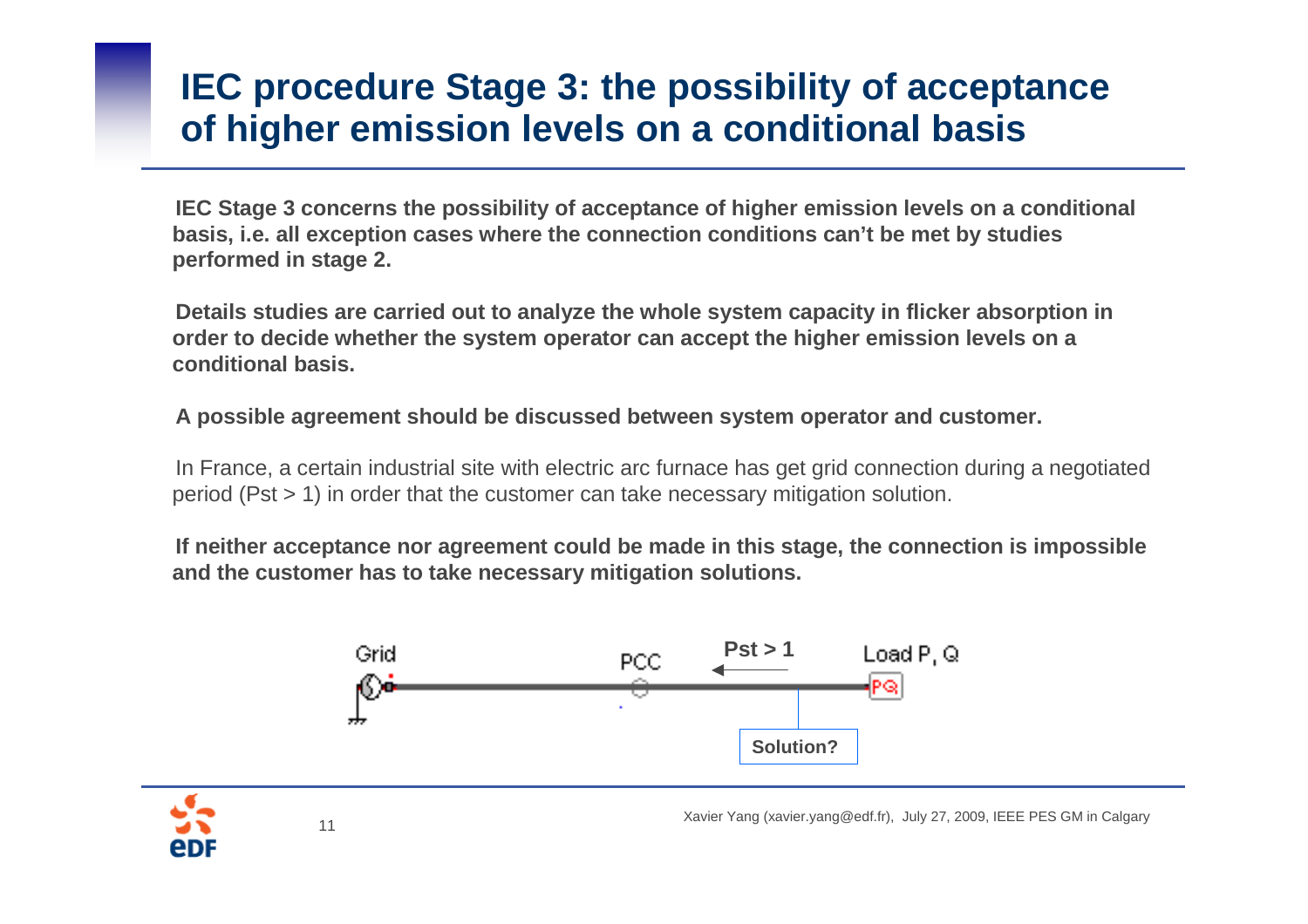### **IEC procedure Stage 3: the possibility of acceptanceof higher emission levels on a conditional basis**

**IEC Stage 3 concerns the possibility of acceptance of higher emission levels on a conditional basis, i.e. all exception cases where the connection conditions can't be met by studies performed in stage 2.** 

**Details studies are carried out to analyze the whole system capacity in flicker absorption in order to decide whether the system operator can accept the higher emission levels on a conditional basis.**

**A possible agreement should be discussed between system operator and customer.**

In France, a certain industrial site with electric arc furnace has get grid connection during a negotiated period (Pst > 1) in order that the customer can take necessary mitigation solution.

**If neither acceptance nor agreement could be made in this stage, the connection is impossible and the customer has to take necessary mitigation solutions.**



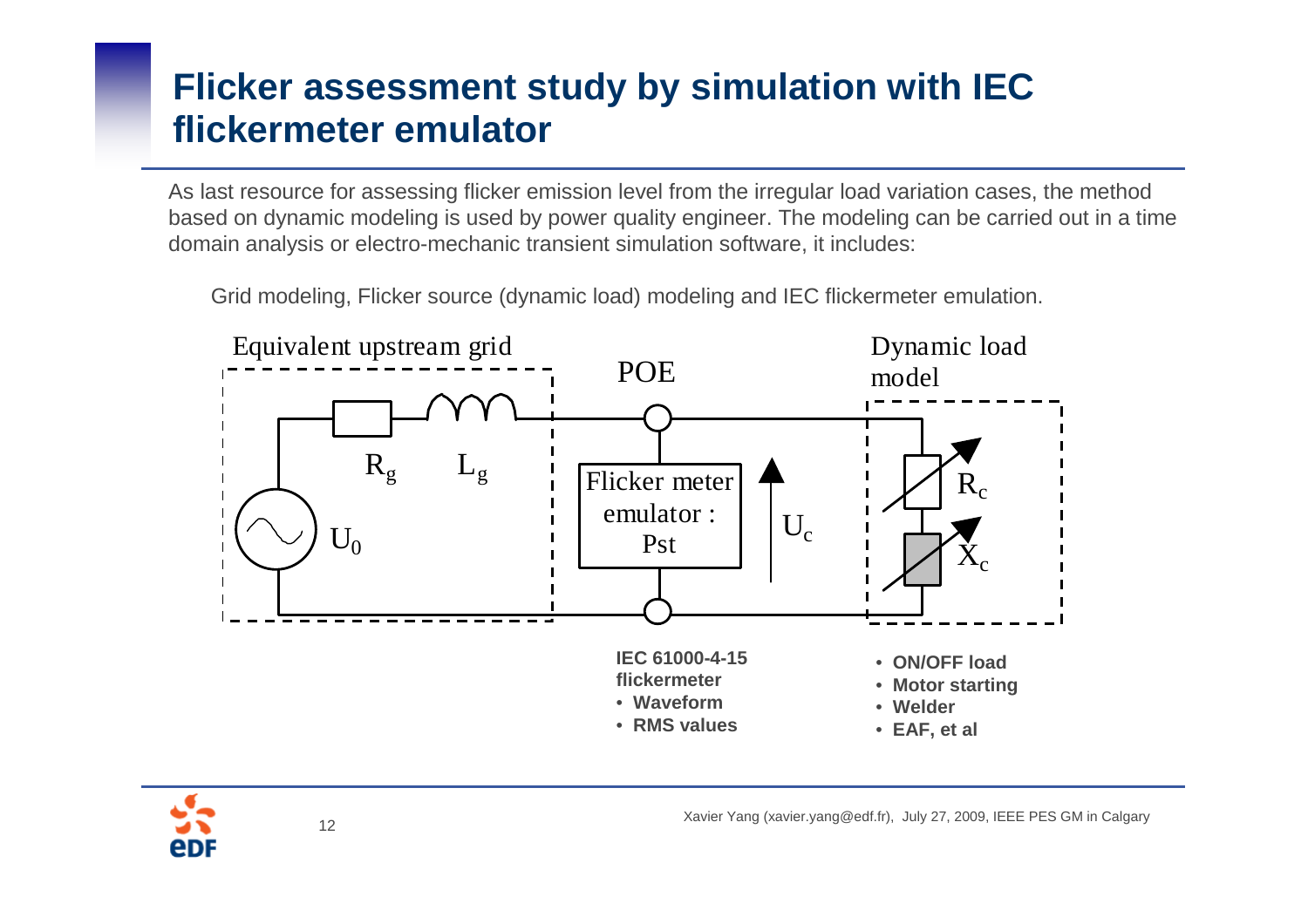# **Flicker assessment study by simulation with IEC flickermeter emulator**

As last resource for assessing flicker emission level from the irregular load variation cases, the method based on dynamic modeling is used by power quality engineer. The modeling can be carried out in a time domain analysis or electro-mechanic transient simulation software, it includes:

Grid modeling, Flicker source (dynamic load) modeling and IEC flickermeter emulation.



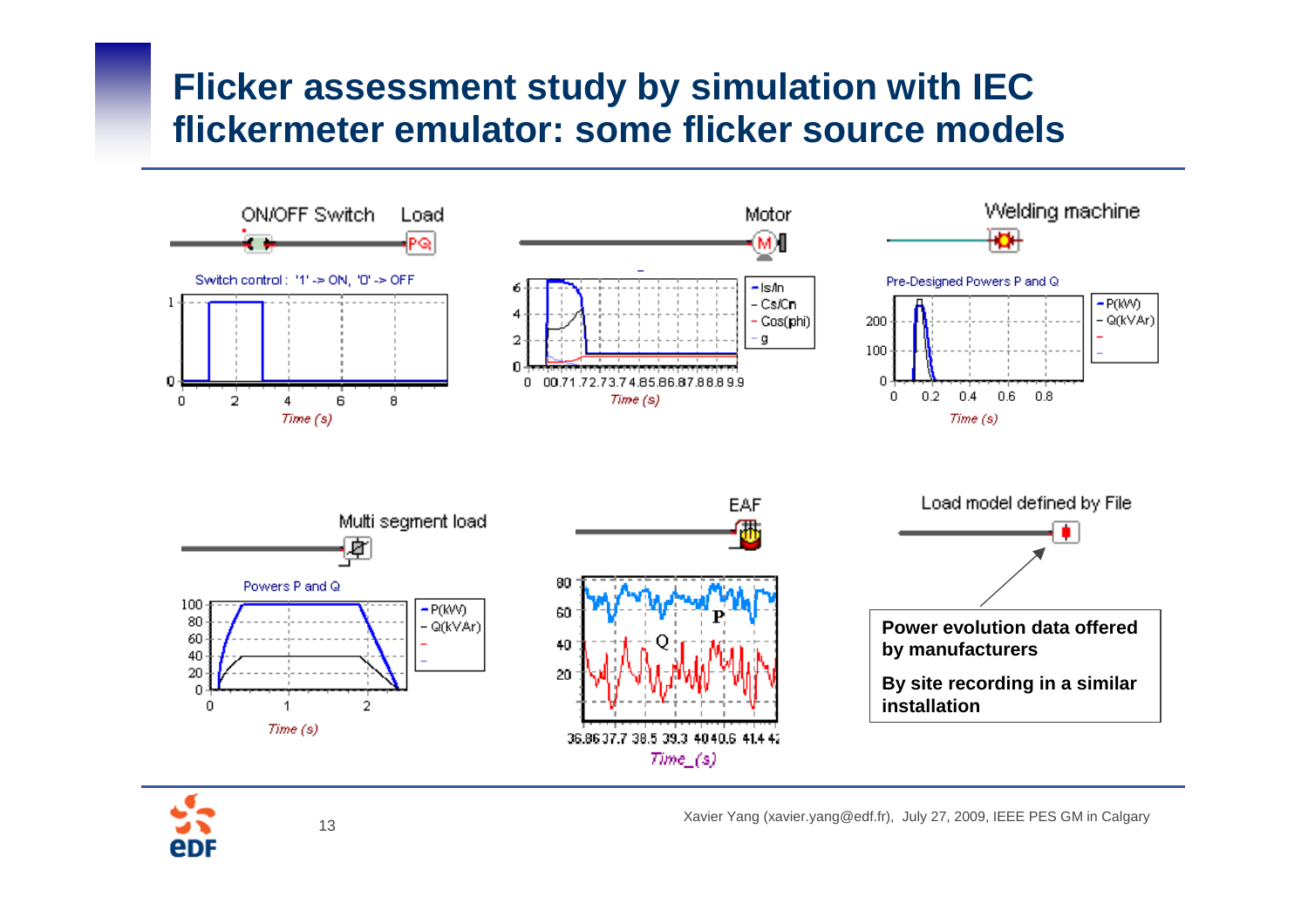#### **Flicker assessment study by simulation with IEC flickermeter emulator: some flicker source models**



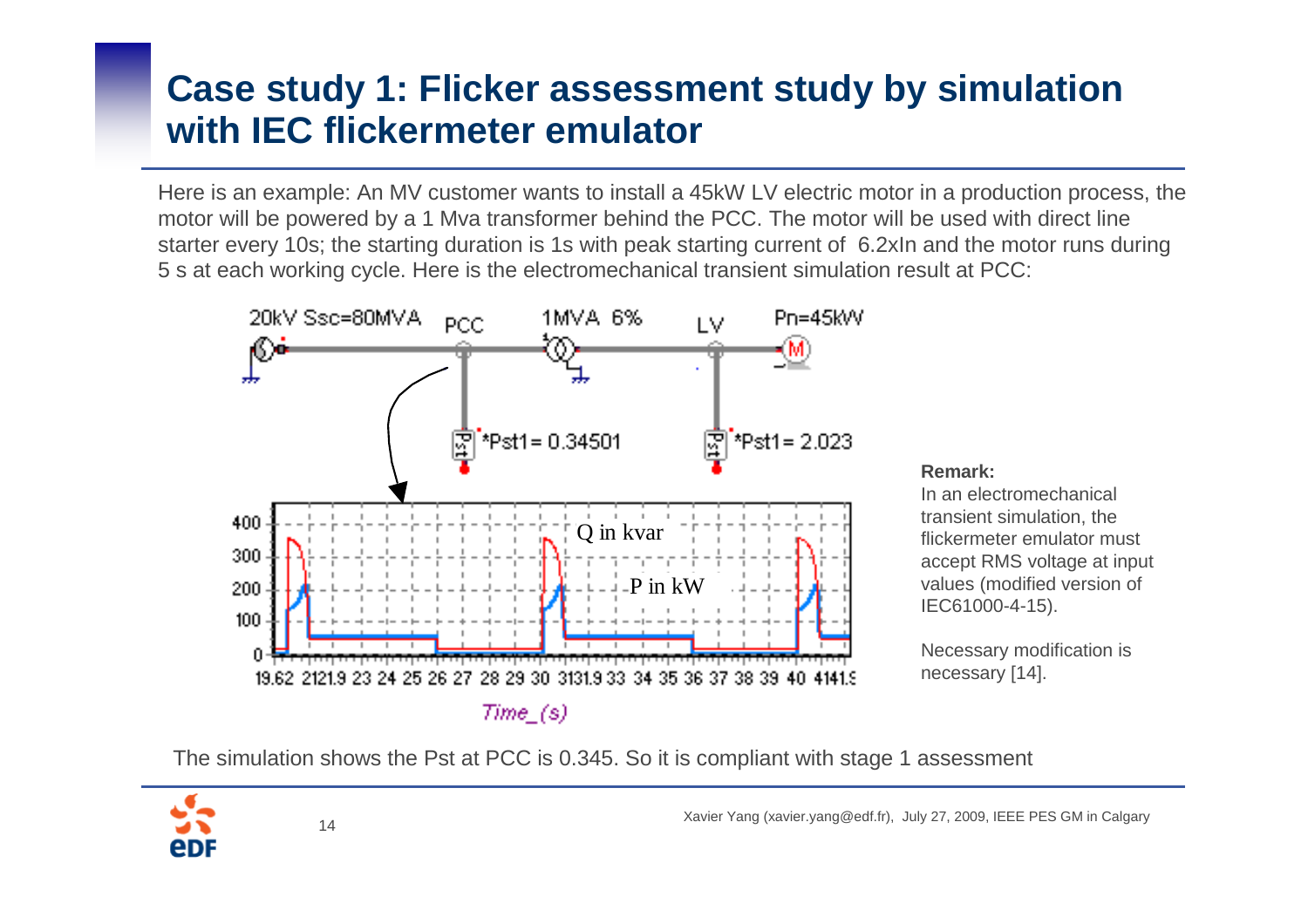# **Case study 1: Flicker assessment study by simulation with IEC flickermeter emulator**

Here is an example: An MV customer wants to install a 45kW LV electric motor in a production process, the motor will be powered by a 1 Mva transformer behind the PCC. The motor will be used with direct line starter every 10s; the starting duration is 1s with peak starting current of 6.2xIn and the motor runs during 5 s at each working cycle. Here is the electromechanical transient simulation result at PCC:



#### **Remark:**

 In an electromechanical transient simulation, the flickermeter emulator must accept RMS voltage at input values (modified version of IEC61000-4-15).

Necessary modification is necessary [14].

The simulation shows the Pst at PCC is 0.345. So it is compliant with stage 1 assessment

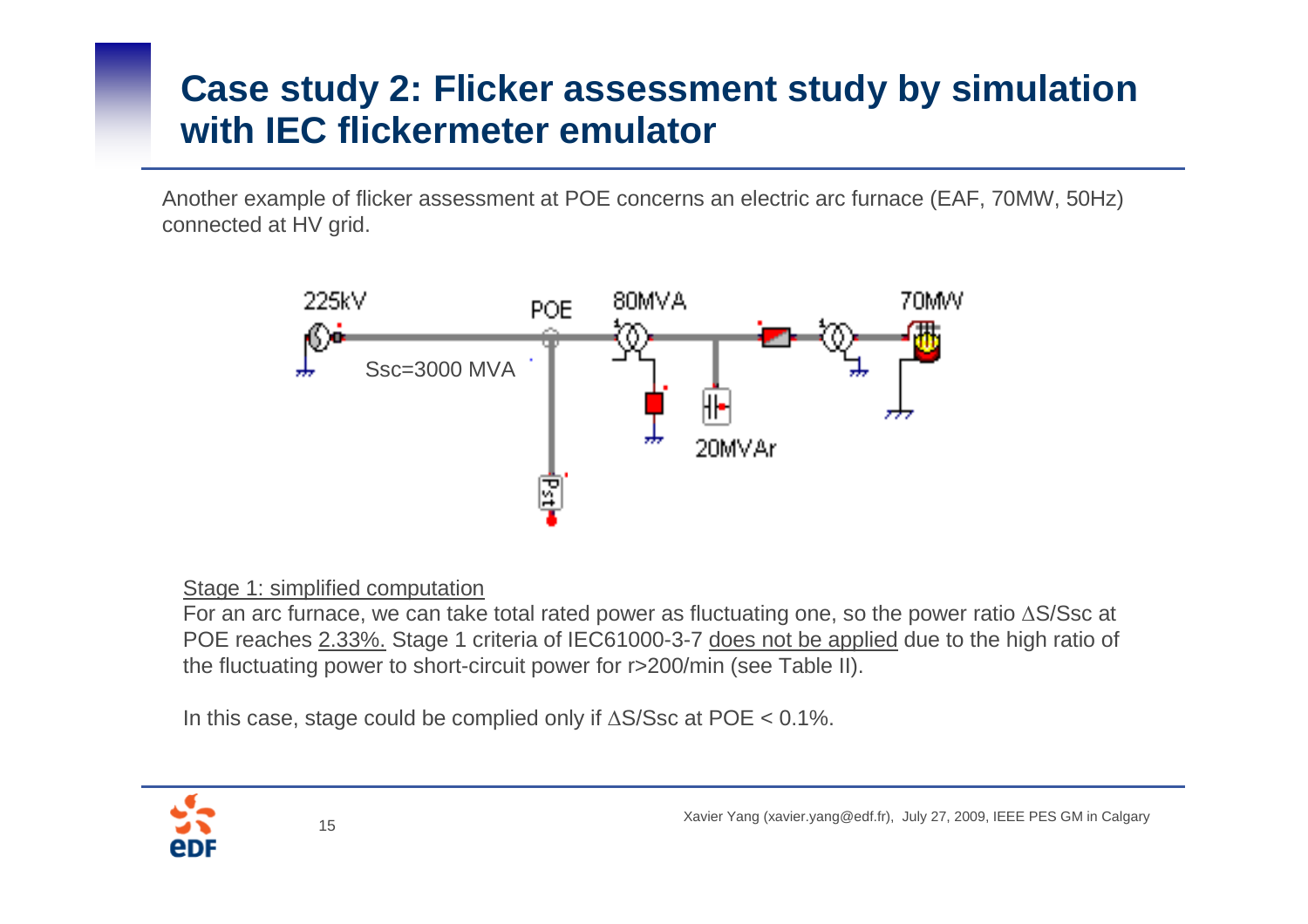# **Case study 2: Flicker assessment study by simulation with IEC flickermeter emulator**

Another example of flicker assessment at POE concerns an electric arc furnace (EAF, 70MW, 50Hz) connected at HV grid.



#### Stage 1: simplified computation

 For an arc furnace, we can take total rated power as fluctuating one, so the power ratio ∆S/Ssc at POE reaches 2.33%. Stage 1 criteria of IEC61000-3-7 does not be applied due to the high ratio of the fluctuating power to short-circuit power for r>200/min (see Table II).

In this case, stage could be complied only if ∆S/Ssc at POE < 0.1%.

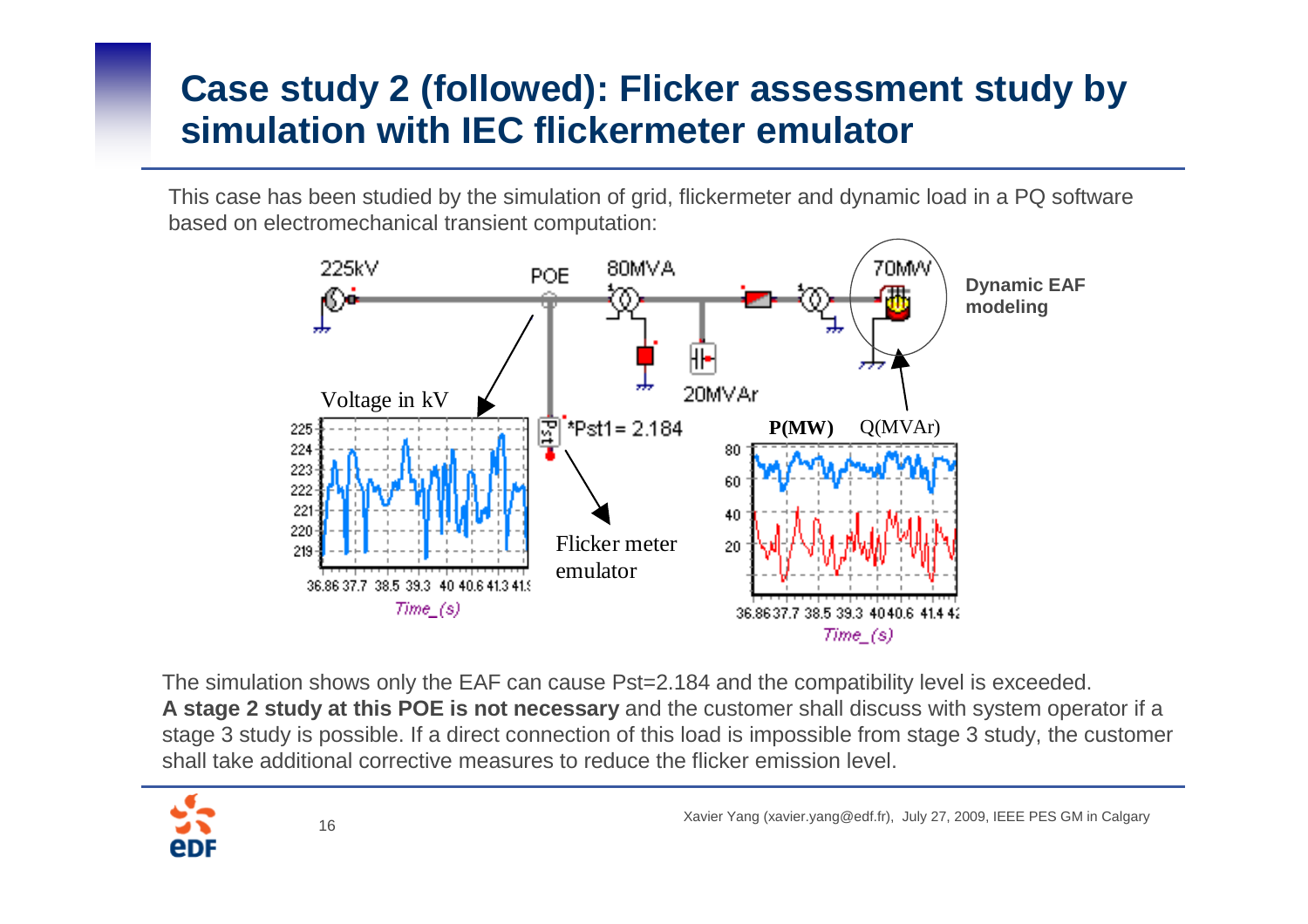# **Case study 2 (followed): Flicker assessment study by simulation with IEC flickermeter emulator**

This case has been studied by the simulation of grid, flickermeter and dynamic load in a PQ software based on electromechanical transient computation:



The simulation shows only the EAF can cause Pst=2.184 and the compatibility level is exceeded. **A stage 2 study at this POE is not necessary** and the customer shall discuss with system operator if a stage 3 study is possible. If a direct connection of this load is impossible from stage 3 study, the customer shall take additional corrective measures to reduce the flicker emission level.